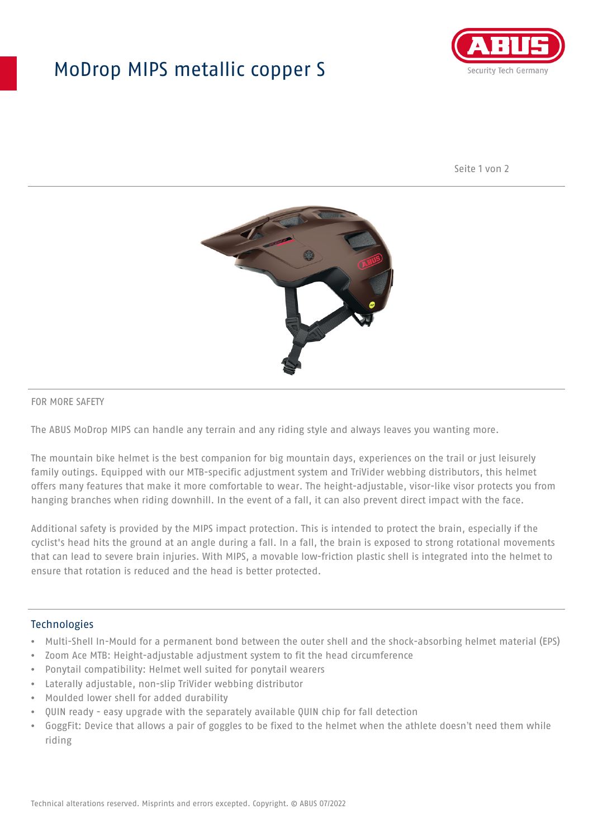## MoDrop MIPS metallic copper S



Seite 1 von 2



#### FOR MORE SAFETY

The ABUS MoDrop MIPS can handle any terrain and any riding style and always leaves you wanting more.

The mountain bike helmet is the best companion for big mountain days, experiences on the trail or just leisurely family outings. Equipped with our MTB-specific adjustment system and TriVider webbing distributors, this helmet offers many features that make it more comfortable to wear. The height-adjustable, visor-like visor protects you from hanging branches when riding downhill. In the event of a fall, it can also prevent direct impact with the face.

Additional safety is provided by the MIPS impact protection. This is intended to protect the brain, especially if the cyclist's head hits the ground at an angle during a fall. In a fall, the brain is exposed to strong rotational movements that can lead to severe brain injuries. With MIPS, a movable low-friction plastic shell is integrated into the helmet to ensure that rotation is reduced and the head is better protected.

### Technologies

- Multi-Shell In-Mould for a permanent bond between the outer shell and the shock-absorbing helmet material (EPS)
- Zoom Ace MTB: Height-adjustable adjustment system to fit the head circumference
- Ponytail compatibility: Helmet well suited for ponytail wearers
- Laterally adjustable, non-slip TriVider webbing distributor
- Moulded lower shell for added durability
- QUIN ready easy upgrade with the separately available QUIN chip for fall detection
- GoggFit: Device that allows a pair of goggles to be fixed to the helmet when the athlete doesn't need them while riding